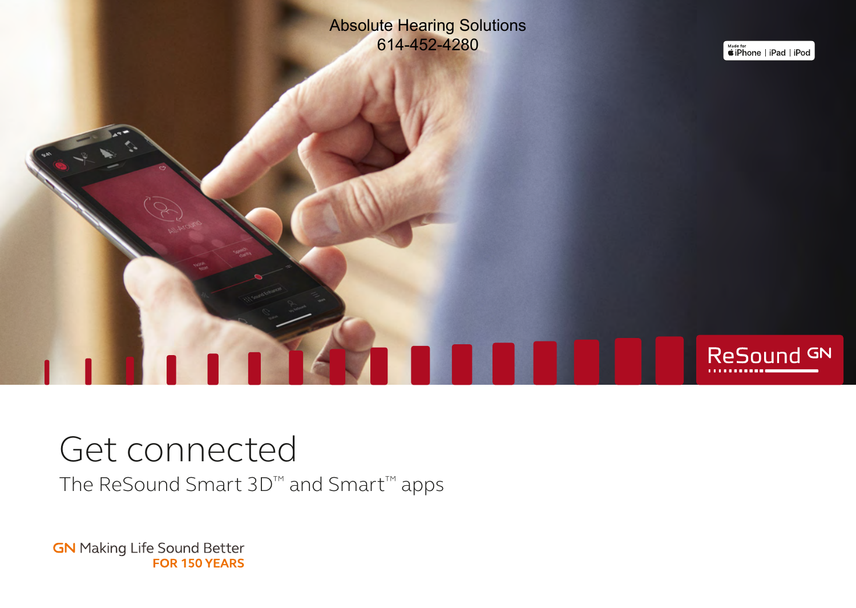Absolute Hearing Solutions 614-452-4280

**КЛПП** 

**Made for**<br> **#iPhone** | iPad | iPod

ReSound GN

# Get connected

The ReSound Smart 3D™ and Smart™ apps

**GN** Making Life Sound Better FOR 150 YEARS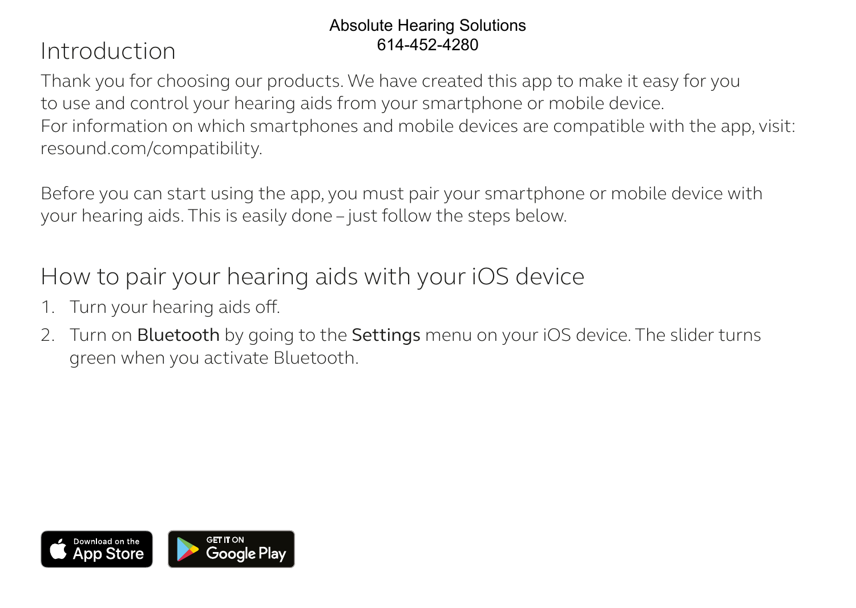### Absolute Hearing Solutions 614-452-4280

# Introduction

Thank you for choosing our products. We have created this app to make it easy for you to use and control your hearing aids from your smartphone or mobile device. For information on which smartphones and mobile devices are compatible with the app, visit: resound.com/compatibility.

Before you can start using the app, you must pair your smartphone or mobile device with your hearing aids. This is easily done – just follow the steps below.

How to pair your hearing aids with your iOS device

- 1. Turn your hearing aids off.
- 2. Turn on Bluetooth by going to the Settings menu on your iOS device. The slider turns green when you activate Bluetooth.

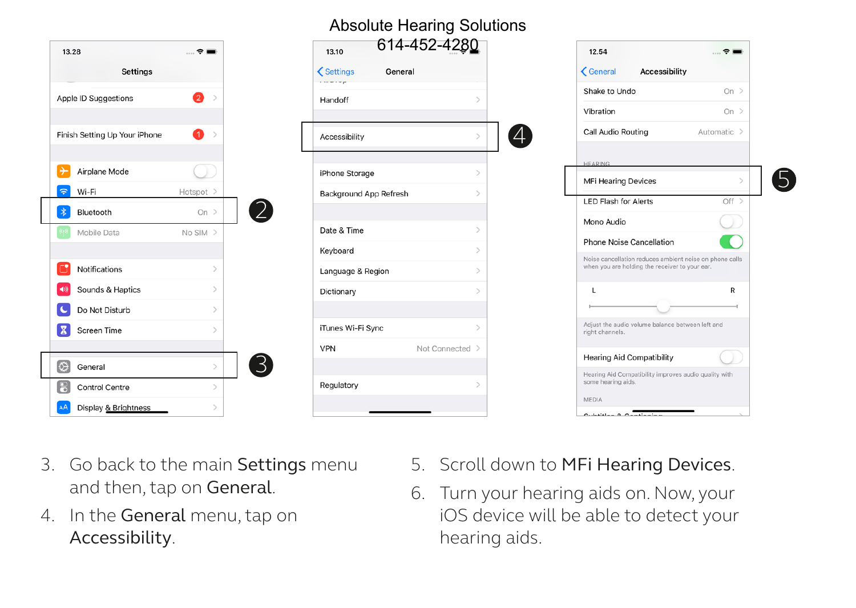| 13.28                         | $\mathcal{R} =$    | 614-452-4280<br>13.10                       |                  | 12.54<br>$\hat{z}$                                                                        |
|-------------------------------|--------------------|---------------------------------------------|------------------|-------------------------------------------------------------------------------------------|
| Settings                      |                    | <b>くSettings</b><br>General<br>a supervisor |                  | <b>くGeneral</b><br>Accessibility                                                          |
| Apple ID Suggestions          | 2<br>$\rightarrow$ | Handoff                                     |                  | Shake to Undo<br>$On$ >                                                                   |
|                               |                    |                                             |                  | Vibration<br>On $\geq$                                                                    |
| Finish Setting Up Your iPhone | ➊<br>$\rightarrow$ | Accessibility                               | $\left[4\right]$ | Call Audio Routing<br>Automatic >                                                         |
|                               |                    |                                             |                  | <b>HEARING</b>                                                                            |
| 1÷<br>Airplane Mode           |                    | iPhone Storage                              |                  | MFi Hearing Devices                                                                       |
| $ \hat{\tau} $<br>Wi-Fi       | Hotspot >          | Background App Refresh                      |                  | $Off$ ><br><b>LED Flash for Alerts</b>                                                    |
| $\ast$<br>Bluetooth           | $On$ >             |                                             |                  | D.<br>Mono Audio                                                                          |
| Mobile Data                   | $No SIM$ >         | Date & Time                                 |                  |                                                                                           |
|                               |                    | Keyboard                                    |                  | Phone Noise Cancellation<br>Noise cancellation reduces ambient noise on phone calls       |
| Notifications                 |                    | Language & Region                           |                  | when you are holding the receiver to your ear.                                            |
| Sounds & Haptics              |                    | Dictionary                                  |                  | R<br>$\mathsf{L}$                                                                         |
| Do Not Disturb                |                    |                                             |                  |                                                                                           |
| IX.<br>Screen Time            |                    | iTunes Wi-Fi Sync                           |                  | Adjust the audio volume balance between left and<br>right channels.                       |
|                               |                    | VPN                                         | Not Connected >  |                                                                                           |
| <b>Q</b><br>General           | 3)                 |                                             |                  | <b>Hearing Aid Compatibility</b><br>Hearing Aid Compatibility improves audio quality with |
| 圖<br>Control Centre           |                    | Regulatory                                  |                  | some hearing aids.                                                                        |
| Display & Brightness          |                    |                                             |                  | <b>MEDIA</b><br>Contract the contract of the contract of                                  |

Absolute Hearing Solutions

- 3. Go back to the main Settings menu and then, tap on General.
- 4. In the General menu, tap on Accessibility.
- 5. Scroll down to MFi Hearing Devices.
- 6. Turn your hearing aids on. Now, your iOS device will be able to detect your hearing aids.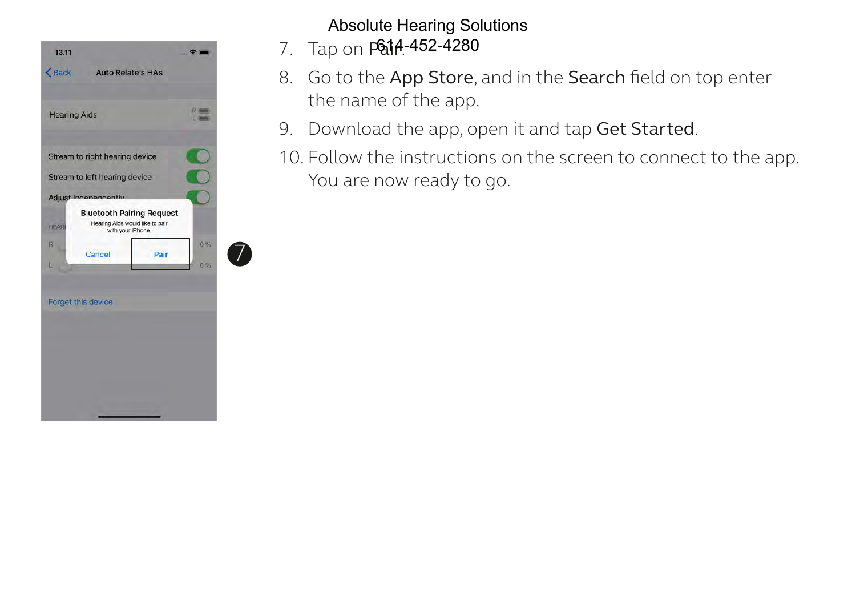

## Absolute Hearing Solutions

- 7. Tap on **P&14-452-4280**
- 8. Go to the App Store, and in the Search field on top enter the name of the app.
- 9. Download the app, open it and tap Get Started.
- 10. Follow the instructions on the screen to connect to the app. You are now ready to go.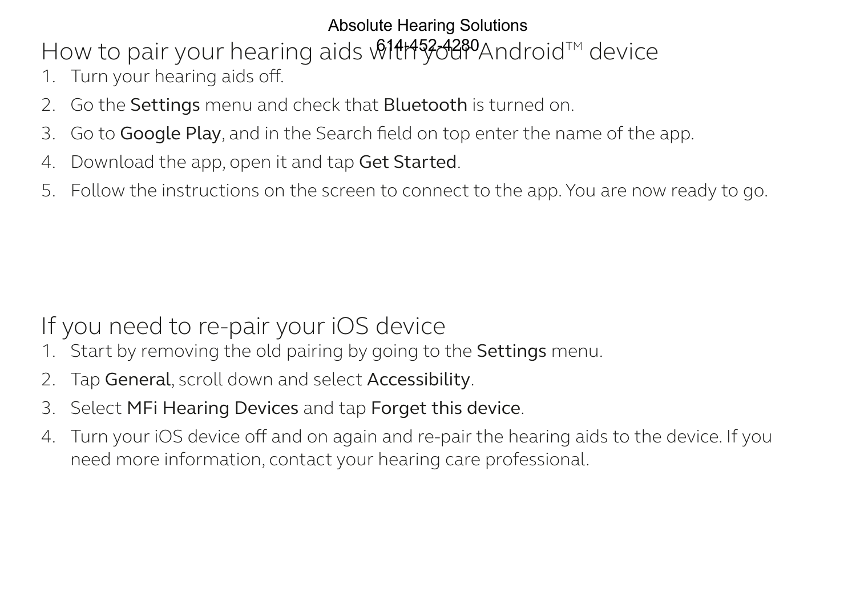# Absolute Hearing Solutions

How to pair your hearing aids with your AndroidTM device 614-452-4280

- 1. Turn your hearing aids off.
- 2. Go the Settings menu and check that Bluetooth is turned on.
- 3. Go to Google Play, and in the Search field on top enter the name of the app.
- 4. Download the app, open it and tap Get Started.
- 5. Follow the instructions on the screen to connect to the app. You are now ready to go.

# If you need to re-pair your iOS device

- 1. Start by removing the old pairing by going to the **Settings** menu.
- 2. Tap General, scroll down and select Accessibility.
- 3. Select MFi Hearing Devices and tap Forget this device.
- 4. Turn your iOS device off and on again and re-pair the hearing aids to the device. If you need more information, contact your hearing care professional.